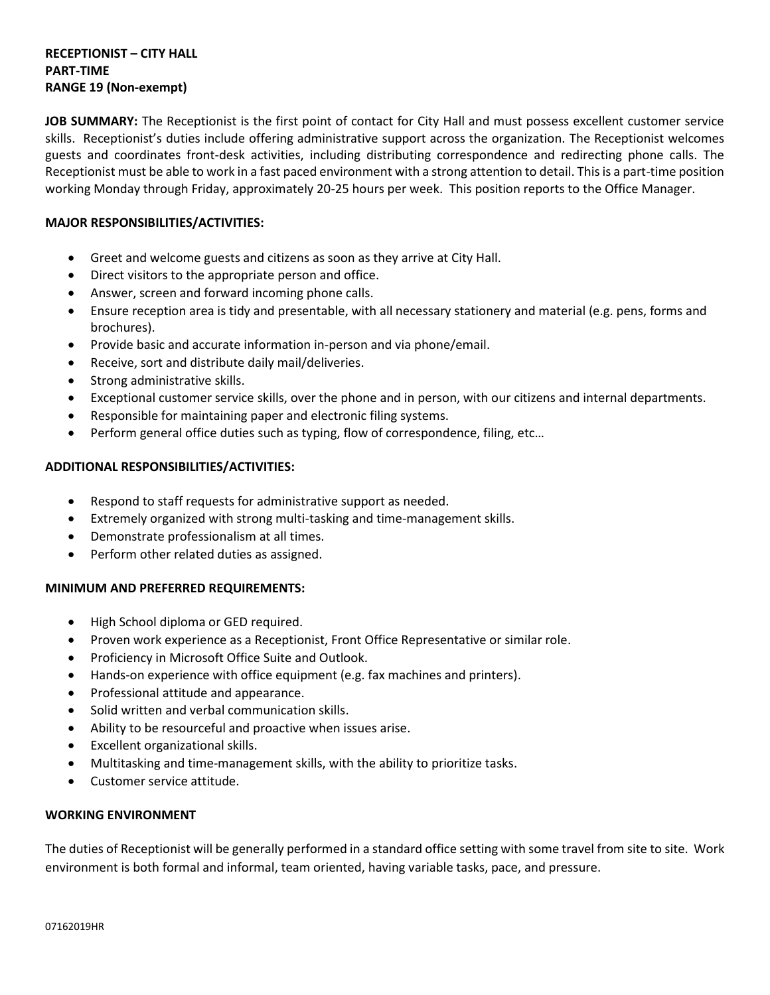### **RECEPTIONIST – CITY HALL PART-TIME RANGE 19 (Non-exempt)**

**JOB SUMMARY:** The Receptionist is the first point of contact for City Hall and must possess excellent customer service skills. Receptionist's duties include offering administrative support across the organization. The Receptionist welcomes guests and coordinates front-desk activities, including distributing correspondence and redirecting phone calls. The Receptionist must be able to work in a fast paced environment with a strong attention to detail. This is a part-time position working Monday through Friday, approximately 20-25 hours per week. This position reports to the Office Manager.

# **MAJOR RESPONSIBILITIES/ACTIVITIES:**

- Greet and welcome guests and citizens as soon as they arrive at City Hall.
- Direct visitors to the appropriate person and office.
- Answer, screen and forward incoming phone calls.
- Ensure reception area is tidy and presentable, with all necessary stationery and material (e.g. pens, forms and brochures).
- Provide basic and accurate information in-person and via phone/email.
- Receive, sort and distribute daily mail/deliveries.
- Strong administrative skills.
- Exceptional customer service skills, over the phone and in person, with our citizens and internal departments.
- Responsible for maintaining paper and electronic filing systems.
- Perform general office duties such as typing, flow of correspondence, filing, etc...

# **ADDITIONAL RESPONSIBILITIES/ACTIVITIES:**

- Respond to staff requests for administrative support as needed.
- Extremely organized with strong multi-tasking and time-management skills.
- Demonstrate professionalism at all times.
- Perform other related duties as assigned.

## **MINIMUM AND PREFERRED REQUIREMENTS:**

- High School diploma or GED required.
- Proven work experience as a Receptionist, Front Office Representative or similar role.
- Proficiency in Microsoft Office Suite and Outlook.
- Hands-on experience with office equipment (e.g. fax machines and printers).
- Professional attitude and appearance.
- Solid written and verbal communication skills.
- Ability to be resourceful and proactive when issues arise.
- Excellent organizational skills.
- Multitasking and time-management skills, with the ability to prioritize tasks.
- Customer service attitude.

## **WORKING ENVIRONMENT**

The duties of Receptionist will be generally performed in a standard office setting with some travel from site to site. Work environment is both formal and informal, team oriented, having variable tasks, pace, and pressure.